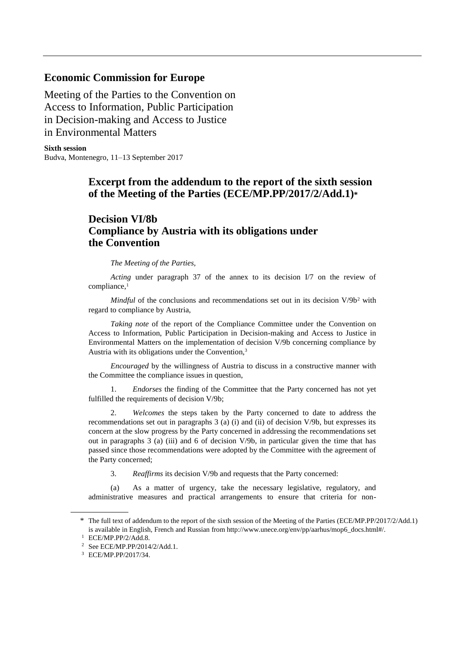## **Economic Commission for Europe**

Meeting of the Parties to the Convention on Access to Information, Public Participation in Decision-making and Access to Justice in Environmental Matters

**Sixth session** Budva, Montenegro, 11–13 September 2017

## **Excerpt from the addendum to the report of the sixth session of the Meeting of the Parties (ECE/MP.PP/2017/2/Add.1)\***

## **Decision VI/8b Compliance by Austria with its obligations under the Convention**

## *The Meeting of the Parties,*

*Acting* under paragraph 37 of the annex to its decision I/7 on the review of compliance,<sup>1</sup>

*Mindful* of the conclusions and recommendations set out in its decision V/9b<sup>2</sup> with regard to compliance by Austria,

*Taking note* of the report of the Compliance Committee under the Convention on Access to Information, Public Participation in Decision-making and Access to Justice in Environmental Matters on the implementation of decision V/9b concerning compliance by Austria with its obligations under the Convention,<sup>3</sup>

*Encouraged* by the willingness of Austria to discuss in a constructive manner with the Committee the compliance issues in question,

1. *Endorses* the finding of the Committee that the Party concerned has not yet fulfilled the requirements of decision V/9b;

2. *Welcomes* the steps taken by the Party concerned to date to address the recommendations set out in paragraphs 3 (a) (i) and (ii) of decision V/9b, but expresses its concern at the slow progress by the Party concerned in addressing the recommendations set out in paragraphs 3 (a) (iii) and 6 of decision V/9b, in particular given the time that has passed since those recommendations were adopted by the Committee with the agreement of the Party concerned;

3. *Reaffirms* its decision V/9b and requests that the Party concerned:

(a) As a matter of urgency, take the necessary legislative, regulatory, and administrative measures and practical arrangements to ensure that criteria for non-

<sup>\*</sup> The full text of addendum to the report of the sixth session of the Meeting of the Parties (ECE/MP.PP/2017/2/Add.1) is available in English, French and Russian from http://www.unece.org/env/pp/aarhus/mop6\_docs.html#/.

<sup>1</sup> ECE/MP.PP/2/Add.8.

<sup>2</sup> See ECE/MP.PP/2014/2/Add.1.

<sup>3</sup> ECE/MP.PP/2017/34.